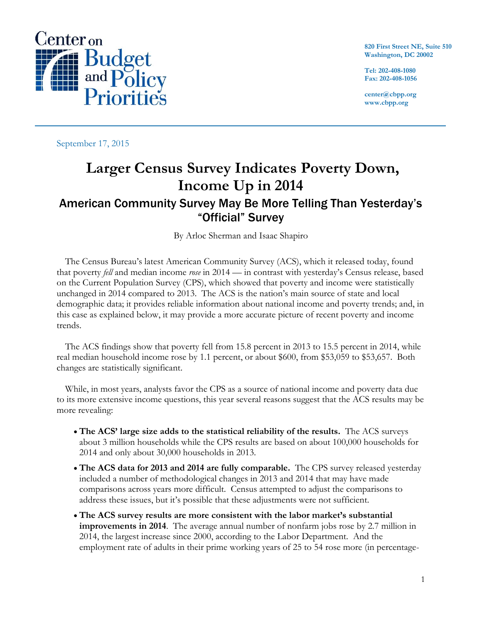

**820 First Street NE, Suite 510 Washington, DC 20002**

**Tel: 202-408-1080 Fax: 202-408-1056**

**center@cbpp.org www.cbpp.org**

September 17, 2015

## **Larger Census Survey Indicates Poverty Down, Income Up in 2014**  American Community Survey May Be More Telling Than Yesterday's "Official" Survey

By Arloc Sherman and Isaac Shapiro

The Census Bureau's latest American Community Survey (ACS), which it released today, found that poverty *fell* and median income *rose* in 2014 — in contrast with yesterday's Census release, based on the Current Population Survey (CPS), which showed that poverty and income were statistically unchanged in 2014 compared to 2013. The ACS is the nation's main source of state and local demographic data; it provides reliable information about national income and poverty trends; and, in this case as explained below, it may provide a more accurate picture of recent poverty and income trends.

The ACS findings show that poverty fell from 15.8 percent in 2013 to 15.5 percent in 2014, while real median household income rose by 1.1 percent, or about \$600, from \$53,059 to \$53,657. Both changes are statistically significant.

While, in most years, analysts favor the CPS as a source of national income and poverty data due to its more extensive income questions, this year several reasons suggest that the ACS results may be more revealing:

- **The ACS' large size adds to the statistical reliability of the results.** The ACS surveys about 3 million households while the CPS results are based on about 100,000 households for 2014 and only about 30,000 households in 2013.
- **The ACS data for 2013 and 2014 are fully comparable.** The CPS survey released yesterday included a number of methodological changes in 2013 and 2014 that may have made comparisons across years more difficult. Census attempted to adjust the comparisons to address these issues, but it's possible that these adjustments were not sufficient.
- **The ACS survey results are more consistent with the labor market's substantial improvements in 2014**. The average annual number of nonfarm jobs rose by 2.7 million in 2014, the largest increase since 2000, according to the Labor Department. And the employment rate of adults in their prime working years of 25 to 54 rose more (in percentage-